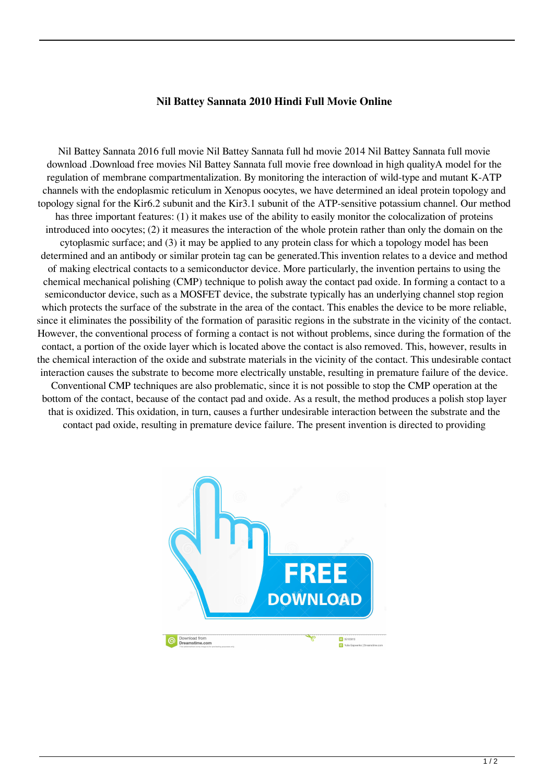## **Nil Battey Sannata 2010 Hindi Full Movie Online**

Nil Battey Sannata 2016 full movie Nil Battey Sannata full hd movie 2014 Nil Battey Sannata full movie download .Download free movies Nil Battey Sannata full movie free download in high qualityA model for the regulation of membrane compartmentalization. By monitoring the interaction of wild-type and mutant K-ATP channels with the endoplasmic reticulum in Xenopus oocytes, we have determined an ideal protein topology and topology signal for the Kir6.2 subunit and the Kir3.1 subunit of the ATP-sensitive potassium channel. Our method has three important features: (1) it makes use of the ability to easily monitor the colocalization of proteins introduced into oocytes; (2) it measures the interaction of the whole protein rather than only the domain on the cytoplasmic surface; and (3) it may be applied to any protein class for which a topology model has been determined and an antibody or similar protein tag can be generated.This invention relates to a device and method of making electrical contacts to a semiconductor device. More particularly, the invention pertains to using the chemical mechanical polishing (CMP) technique to polish away the contact pad oxide. In forming a contact to a semiconductor device, such as a MOSFET device, the substrate typically has an underlying channel stop region which protects the surface of the substrate in the area of the contact. This enables the device to be more reliable, since it eliminates the possibility of the formation of parasitic regions in the substrate in the vicinity of the contact. However, the conventional process of forming a contact is not without problems, since during the formation of the contact, a portion of the oxide layer which is located above the contact is also removed. This, however, results in the chemical interaction of the oxide and substrate materials in the vicinity of the contact. This undesirable contact interaction causes the substrate to become more electrically unstable, resulting in premature failure of the device. Conventional CMP techniques are also problematic, since it is not possible to stop the CMP operation at the bottom of the contact, because of the contact pad and oxide. As a result, the method produces a polish stop layer that is oxidized. This oxidation, in turn, causes a further undesirable interaction between the substrate and the contact pad oxide, resulting in premature device failure. The present invention is directed to providing